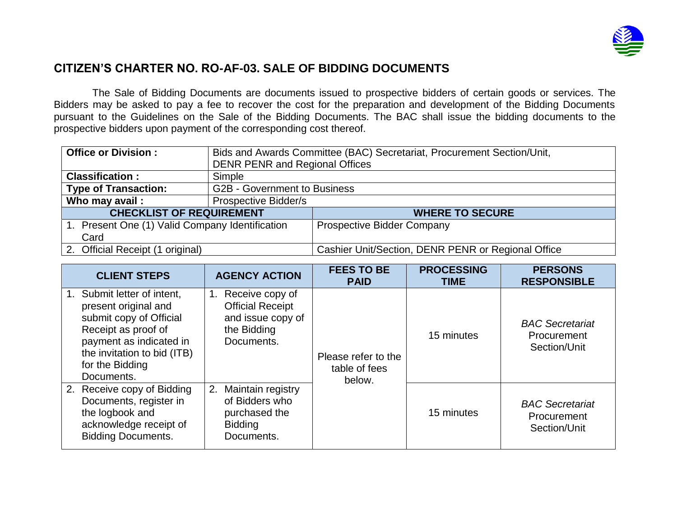

## **CITIZEN'S CHARTER NO. RO-AF-03. SALE OF BIDDING DOCUMENTS**

The Sale of Bidding Documents are documents issued to prospective bidders of certain goods or services. The Bidders may be asked to pay a fee to recover the cost for the preparation and development of the Bidding Documents pursuant to the Guidelines on the Sale of the Bidding Documents. The BAC shall issue the bidding documents to the prospective bidders upon payment of the corresponding cost thereof.

| <b>Office or Division:</b>                      | Bids and Awards Committee (BAC) Secretariat, Procurement Section/Unit, |                                                    |  |
|-------------------------------------------------|------------------------------------------------------------------------|----------------------------------------------------|--|
|                                                 | <b>DENR PENR and Regional Offices</b>                                  |                                                    |  |
| <b>Classification:</b>                          | Simple                                                                 |                                                    |  |
| <b>Type of Transaction:</b>                     | <b>G2B - Government to Business</b>                                    |                                                    |  |
| Who may avail:                                  | Prospective Bidder/s                                                   |                                                    |  |
| <b>CHECKLIST OF REQUIREMENT</b>                 |                                                                        | <b>WHERE TO SECURE</b>                             |  |
| 1. Present One (1) Valid Company Identification |                                                                        | <b>Prospective Bidder Company</b>                  |  |
| Card                                            |                                                                        |                                                    |  |
| 2. Official Receipt (1 original)                |                                                                        | Cashier Unit/Section, DENR PENR or Regional Office |  |

| <b>CLIENT STEPS</b>                                                                                                                                                                              | <b>AGENCY ACTION</b>                                                                               | <b>FEES TO BE</b><br><b>PAID</b>               | <b>PROCESSING</b><br><b>TIME</b> | <b>PERSONS</b><br><b>RESPONSIBLE</b>                  |
|--------------------------------------------------------------------------------------------------------------------------------------------------------------------------------------------------|----------------------------------------------------------------------------------------------------|------------------------------------------------|----------------------------------|-------------------------------------------------------|
| 1. Submit letter of intent,<br>present original and<br>submit copy of Official<br>Receipt as proof of<br>payment as indicated in<br>the invitation to bid (ITB)<br>for the Bidding<br>Documents. | Receive copy of<br>1.<br><b>Official Receipt</b><br>and issue copy of<br>the Bidding<br>Documents. | Please refer to the<br>table of fees<br>below. | 15 minutes                       | <b>BAC</b> Secretariat<br>Procurement<br>Section/Unit |
| 2. Receive copy of Bidding<br>Documents, register in<br>the logbook and<br>acknowledge receipt of<br><b>Bidding Documents.</b>                                                                   | Maintain registry<br>2.<br>of Bidders who<br>purchased the<br><b>Bidding</b><br>Documents.         |                                                | 15 minutes                       | <b>BAC</b> Secretariat<br>Procurement<br>Section/Unit |